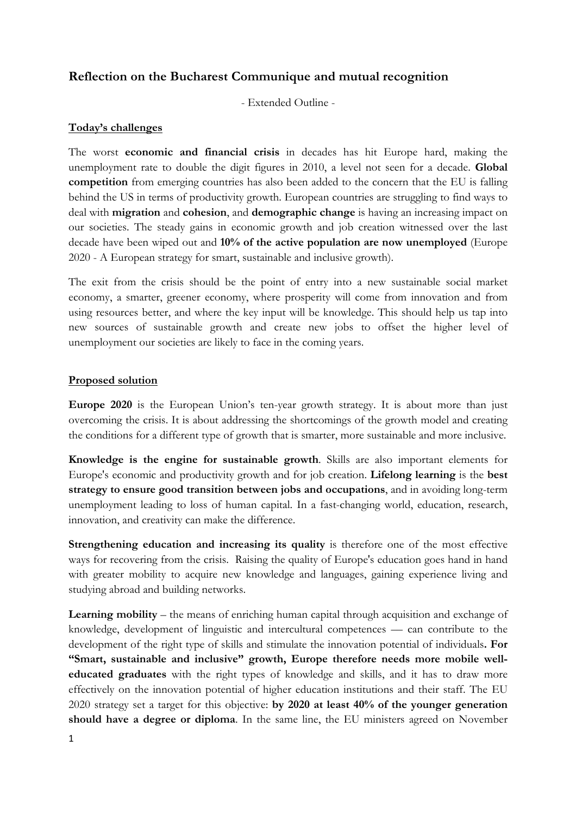# **Reflection on the Bucharest Communique and mutual recognition**

- Extended Outline -

## **Today's challenges**

The worst **economic and financial crisis** in decades has hit Europe hard, making the unemployment rate to double the digit figures in 2010, a level not seen for a decade. **Global competition** from emerging countries has also been added to the concern that the EU is falling behind the US in terms of productivity growth. European countries are struggling to find ways to deal with **migration** and **cohesion**, and **demographic change** is having an increasing impact on our societies. The steady gains in economic growth and job creation witnessed over the last decade have been wiped out and **10% of the active population are now unemployed** (Europe 2020 - A European strategy for smart, sustainable and inclusive growth).

The exit from the crisis should be the point of entry into a new sustainable social market economy, a smarter, greener economy, where prosperity will come from innovation and from using resources better, and where the key input will be knowledge. This should help us tap into new sources of sustainable growth and create new jobs to offset the higher level of unemployment our societies are likely to face in the coming years.

### **Proposed solution**

**Europe 2020** is the European Union's ten-year growth strategy. It is about more than just overcoming the crisis. It is about addressing the shortcomings of the growth model and creating the conditions for a different type of growth that is smarter, more sustainable and more inclusive.

**Knowledge is the engine for sustainable growth**. Skills are also important elements for Europe's economic and productivity growth and for job creation. **Lifelong learning** is the **best strategy to ensure good transition between jobs and occupations**, and in avoiding long-term unemployment leading to loss of human capital. In a fast-changing world, education, research, innovation, and creativity can make the difference.

**Strengthening education and increasing its quality** is therefore one of the most effective ways for recovering from the crisis. Raising the quality of Europe's education goes hand in hand with greater mobility to acquire new knowledge and languages, gaining experience living and studying abroad and building networks.

**Learning mobility** – the means of enriching human capital through acquisition and exchange of knowledge, development of linguistic and intercultural competences –– can contribute to the development of the right type of skills and stimulate the innovation potential of individuals**. For "Smart, sustainable and inclusive" growth, Europe therefore needs more mobile welleducated graduates** with the right types of knowledge and skills, and it has to draw more effectively on the innovation potential of higher education institutions and their staff. The EU 2020 strategy set a target for this objective: **by 2020 at least 40% of the younger generation should have a degree or diploma**. In the same line, the EU ministers agreed on November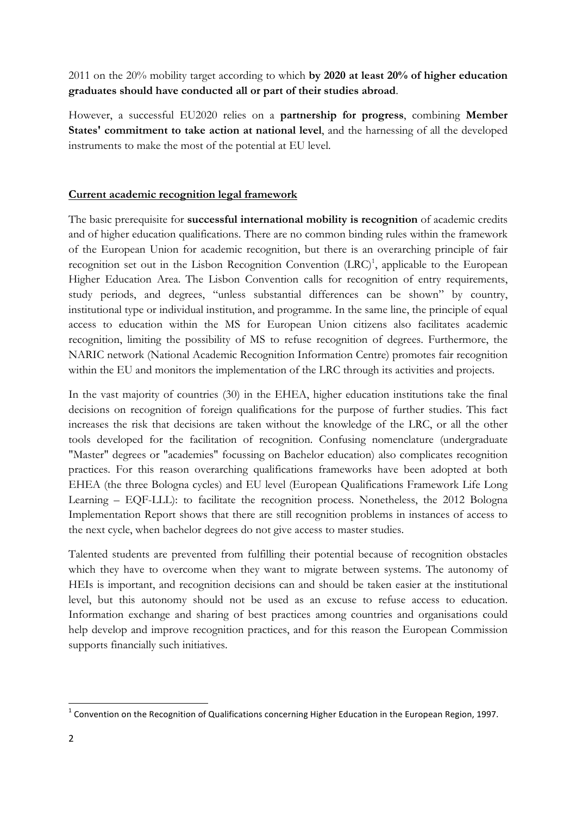2011 on the 20% mobility target according to which **by 2020 at least 20% of higher education graduates should have conducted all or part of their studies abroad**.

However, a successful EU2020 relies on a **partnership for progress**, combining **Member States' commitment to take action at national level**, and the harnessing of all the developed instruments to make the most of the potential at EU level.

# **Current academic recognition legal framework**

The basic prerequisite for **successful international mobility is recognition** of academic credits and of higher education qualifications. There are no common binding rules within the framework of the European Union for academic recognition, but there is an overarching principle of fair recognition set out in the Lisbon Recognition Convention  $(LRC)^1$ , applicable to the European Higher Education Area. The Lisbon Convention calls for recognition of entry requirements, study periods, and degrees, "unless substantial differences can be shown" by country, institutional type or individual institution, and programme. In the same line, the principle of equal access to education within the MS for European Union citizens also facilitates academic recognition, limiting the possibility of MS to refuse recognition of degrees. Furthermore, the NARIC network (National Academic Recognition Information Centre) promotes fair recognition within the EU and monitors the implementation of the LRC through its activities and projects.

In the vast majority of countries (30) in the EHEA, higher education institutions take the final decisions on recognition of foreign qualifications for the purpose of further studies. This fact increases the risk that decisions are taken without the knowledge of the LRC, or all the other tools developed for the facilitation of recognition. Confusing nomenclature (undergraduate "Master" degrees or "academies" focussing on Bachelor education) also complicates recognition practices. For this reason overarching qualifications frameworks have been adopted at both EHEA (the three Bologna cycles) and EU level (European Qualifications Framework Life Long Learning – EQF-LLL): to facilitate the recognition process. Nonetheless, the 2012 Bologna Implementation Report shows that there are still recognition problems in instances of access to the next cycle, when bachelor degrees do not give access to master studies.

Talented students are prevented from fulfilling their potential because of recognition obstacles which they have to overcome when they want to migrate between systems. The autonomy of HEIs is important, and recognition decisions can and should be taken easier at the institutional level, but this autonomy should not be used as an excuse to refuse access to education. Information exchange and sharing of best practices among countries and organisations could help develop and improve recognition practices, and for this reason the European Commission supports financially such initiatives.

 

 $1$  Convention on the Recognition of Qualifications concerning Higher Education in the European Region, 1997.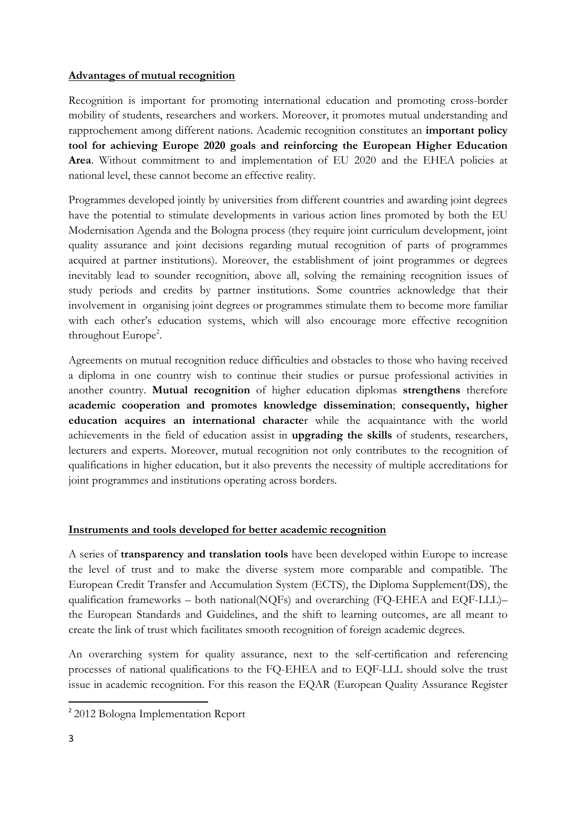#### **Advantages of mutual recognition**

Recognition is important for promoting international education and promoting cross-border mobility of students, researchers and workers. Moreover, it promotes mutual understanding and rapprochement among different nations. Academic recognition constitutes an **important policy tool for achieving Europe 2020 goals and reinforcing the European Higher Education Area**. Without commitment to and implementation of EU 2020 and the EHEA policies at national level, these cannot become an effective reality.

Programmes developed jointly by universities from different countries and awarding joint degrees have the potential to stimulate developments in various action lines promoted by both the EU Modernisation Agenda and the Bologna process (they require joint curriculum development, joint quality assurance and joint decisions regarding mutual recognition of parts of programmes acquired at partner institutions). Moreover, the establishment of joint programmes or degrees inevitably lead to sounder recognition, above all, solving the remaining recognition issues of study periods and credits by partner institutions. Some countries acknowledge that their involvement in organising joint degrees or programmes stimulate them to become more familiar with each other's education systems, which will also encourage more effective recognition throughout Europe<sup>2</sup>.

Agreements on mutual recognition reduce difficulties and obstacles to those who having received a diploma in one country wish to continue their studies or pursue professional activities in another country. **Mutual recognition** of higher education diplomas **strengthens** therefore **academic cooperation and promotes knowledge dissemination**; **consequently, higher education acquires an international characte**r while the acquaintance with the world achievements in the field of education assist in **upgrading the skills** of students, researchers, lecturers and experts. Moreover, mutual recognition not only contributes to the recognition of qualifications in higher education, but it also prevents the necessity of multiple accreditations for joint programmes and institutions operating across borders.

#### **Instruments and tools developed for better academic recognition**

A series of **transparency and translation tools** have been developed within Europe to increase the level of trust and to make the diverse system more comparable and compatible. The European Credit Transfer and Accumulation System (ECTS), the Diploma Supplement(DS), the qualification frameworks – both national(NQFs) and overarching (FQ-EHEA and EQF-LLL)– the European Standards and Guidelines, and the shift to learning outcomes, are all meant to create the link of trust which facilitates smooth recognition of foreign academic degrees.

An overarching system for quality assurance, next to the self-certification and referencing processes of national qualifications to the FQ-EHEA and to EQF-LLL should solve the trust issue in academic recognition. For this reason the EQAR (European Quality Assurance Register

 

<sup>&</sup>lt;sup>2</sup> 2012 Bologna Implementation Report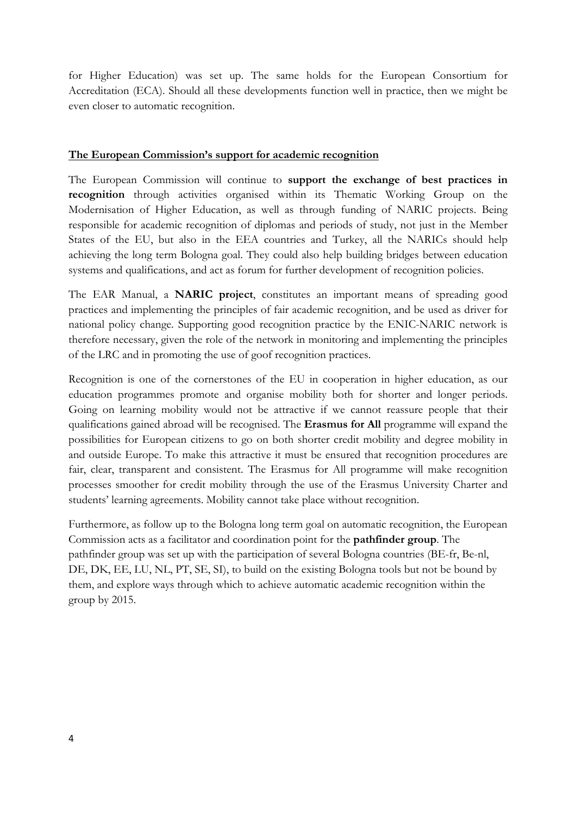for Higher Education) was set up. The same holds for the European Consortium for Accreditation (ECA). Should all these developments function well in practice, then we might be even closer to automatic recognition.

### **The European Commission's support for academic recognition**

The European Commission will continue to **support the exchange of best practices in recognition** through activities organised within its Thematic Working Group on the Modernisation of Higher Education, as well as through funding of NARIC projects. Being responsible for academic recognition of diplomas and periods of study, not just in the Member States of the EU, but also in the EEA countries and Turkey, all the NARICs should help achieving the long term Bologna goal. They could also help building bridges between education systems and qualifications, and act as forum for further development of recognition policies.

The EAR Manual, a **NARIC project**, constitutes an important means of spreading good practices and implementing the principles of fair academic recognition, and be used as driver for national policy change. Supporting good recognition practice by the ENIC-NARIC network is therefore necessary, given the role of the network in monitoring and implementing the principles of the LRC and in promoting the use of goof recognition practices.

Recognition is one of the cornerstones of the EU in cooperation in higher education, as our education programmes promote and organise mobility both for shorter and longer periods. Going on learning mobility would not be attractive if we cannot reassure people that their qualifications gained abroad will be recognised. The **Erasmus for All** programme will expand the possibilities for European citizens to go on both shorter credit mobility and degree mobility in and outside Europe. To make this attractive it must be ensured that recognition procedures are fair, clear, transparent and consistent. The Erasmus for All programme will make recognition processes smoother for credit mobility through the use of the Erasmus University Charter and students' learning agreements. Mobility cannot take place without recognition.

Furthermore, as follow up to the Bologna long term goal on automatic recognition, the European Commission acts as a facilitator and coordination point for the **pathfinder group**. The pathfinder group was set up with the participation of several Bologna countries (BE-fr, Be-nl, DE, DK, EE, LU, NL, PT, SE, SI), to build on the existing Bologna tools but not be bound by them, and explore ways through which to achieve automatic academic recognition within the group by 2015.